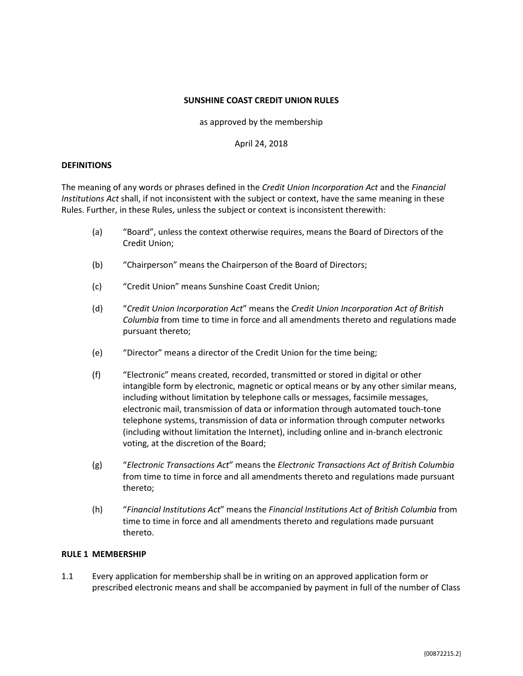## **SUNSHINE COAST CREDIT UNION RULES**

as approved by the membership

April 24, 2018

# **DEFINITIONS**

The meaning of any words or phrases defined in the *Credit Union Incorporation Act* and the *Financial Institutions Act* shall, if not inconsistent with the subject or context, have the same meaning in these Rules. Further, in these Rules, unless the subject or context is inconsistent therewith:

- (a) "Board", unless the context otherwise requires, means the Board of Directors of the Credit Union;
- (b) "Chairperson" means the Chairperson of the Board of Directors;
- (c) "Credit Union" means Sunshine Coast Credit Union;
- (d) "*Credit Union Incorporation Act*" means the *Credit Union Incorporation Act of British Columbia* from time to time in force and all amendments thereto and regulations made pursuant thereto;
- (e) "Director" means a director of the Credit Union for the time being;
- (f) "Electronic" means created, recorded, transmitted or stored in digital or other intangible form by electronic, magnetic or optical means or by any other similar means, including without limitation by telephone calls or messages, facsimile messages, electronic mail, transmission of data or information through automated touch-tone telephone systems, transmission of data or information through computer networks (including without limitation the Internet), including online and in-branch electronic voting, at the discretion of the Board;
- (g) "*Electronic Transactions Act*" means the *Electronic Transactions Act of British Columbia* from time to time in force and all amendments thereto and regulations made pursuant thereto;
- (h) "*Financial Institutions Act*" means the *Financial Institutions Act of British Columbia* from time to time in force and all amendments thereto and regulations made pursuant thereto.

#### **RULE 1 MEMBERSHIP**

1.1 Every application for membership shall be in writing on an approved application form or prescribed electronic means and shall be accompanied by payment in full of the number of Class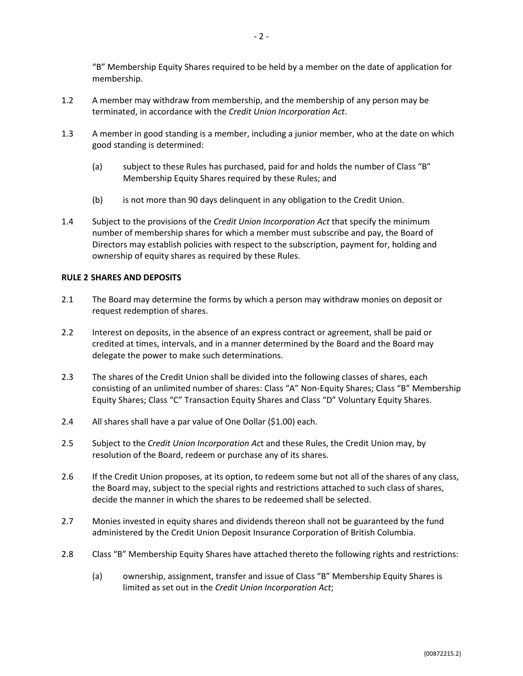"B" Membership Equity Shares required to be held by a member on the date of application for membership.

- 1.2 A member may withdraw from membership, and the membership of any person may be terminated, in accordance with the *Credit Union Incorporation Act*.
- 1.3 A member in good standing is a member, including a junior member, who at the date on which good standing is determined:
	- (a) subject to these Rules has purchased, paid for and holds the number of Class "B" Membership Equity Shares required by these Rules; and
	- (b) is not more than 90 days delinquent in any obligation to the Credit Union.
- 1.4 Subject to the provisions of the *Credit Union Incorporation Act* that specify the minimum number of membership shares for which a member must subscribe and pay, the Board of Directors may establish policies with respect to the subscription, payment for, holding and ownership of equity shares as required by these Rules.

# **RULE 2 SHARES AND DEPOSITS**

- 2.1 The Board may determine the forms by which a person may withdraw monies on deposit or request redemption of shares.
- 2.2 Interest on deposits, in the absence of an express contract or agreement, shall be paid or credited at times, intervals, and in a manner determined by the Board and the Board may delegate the power to make such determinations.
- 2.3 The shares of the Credit Union shall be divided into the following classes of shares, each consisting of an unlimited number of shares: Class "A" Non-Equity Shares; Class "B" Membership Equity Shares; Class "C" Transaction Equity Shares and Class "D" Voluntary Equity Shares.
- 2.4 All shares shall have a par value of One Dollar (\$1.00) each.
- 2.5 Subject to the *Credit Union Incorporation Ac*t and these Rules, the Credit Union may, by resolution of the Board, redeem or purchase any of its shares.
- 2.6 If the Credit Union proposes, at its option, to redeem some but not all of the shares of any class, the Board may, subject to the special rights and restrictions attached to such class of shares, decide the manner in which the shares to be redeemed shall be selected.
- 2.7 Monies invested in equity shares and dividends thereon shall not be guaranteed by the fund administered by the Credit Union Deposit Insurance Corporation of British Columbia.
- <span id="page-1-0"></span>2.8 Class "B" Membership Equity Shares have attached thereto the following rights and restrictions:
	- (a) ownership, assignment, transfer and issue of Class "B" Membership Equity Shares is limited as set out in the *Credit Union Incorporation Act*;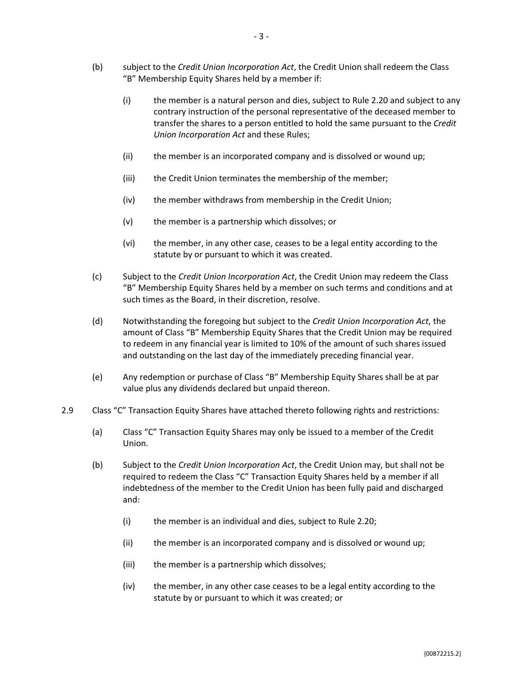- (b) subject to the *Credit Union Incorporation Act*, the Credit Union shall redeem the Class "B" Membership Equity Shares held by a member if:
	- (i) the member is a natural person and dies, subject to Rule [2.20](#page-5-0) and subject to any contrary instruction of the personal representative of the deceased member to transfer the shares to a person entitled to hold the same pursuant to the *Credit Union Incorporation Act* and these Rules;
	- (ii) the member is an incorporated company and is dissolved or wound up;
	- (iii) the Credit Union terminates the membership of the member;
	- (iv) the member withdraws from membership in the Credit Union;
	- (v) the member is a partnership which dissolves; or
	- (vi) the member, in any other case, ceases to be a legal entity according to the statute by or pursuant to which it was created.
- (c) Subject to the *Credit Union Incorporation Act*, the Credit Union may redeem the Class "B" Membership Equity Shares held by a member on such terms and conditions and at such times as the Board, in their discretion, resolve.
- (d) Notwithstanding the foregoing but subject to the *Credit Union Incorporation Act*, the amount of Class "B" Membership Equity Shares that the Credit Union may be required to redeem in any financial year is limited to 10% of the amount of such shares issued and outstanding on the last day of the immediately preceding financial year.
- (e) Any redemption or purchase of Class "B" Membership Equity Shares shall be at par value plus any dividends declared but unpaid thereon.
- <span id="page-2-0"></span>2.9 Class "C" Transaction Equity Shares have attached thereto following rights and restrictions:
	- (a) Class "C" Transaction Equity Shares may only be issued to a member of the Credit Union.
	- (b) Subject to the *Credit Union Incorporation Act*, the Credit Union may, but shall not be required to redeem the Class "C" Transaction Equity Shares held by a member if all indebtedness of the member to the Credit Union has been fully paid and discharged and:
		- (i) the member is an individual and dies, subject to Rule [2.20;](#page-5-0)
		- (ii) the member is an incorporated company and is dissolved or wound up;
		- (iii) the member is a partnership which dissolves;
		- (iv) the member, in any other case ceases to be a legal entity according to the statute by or pursuant to which it was created; or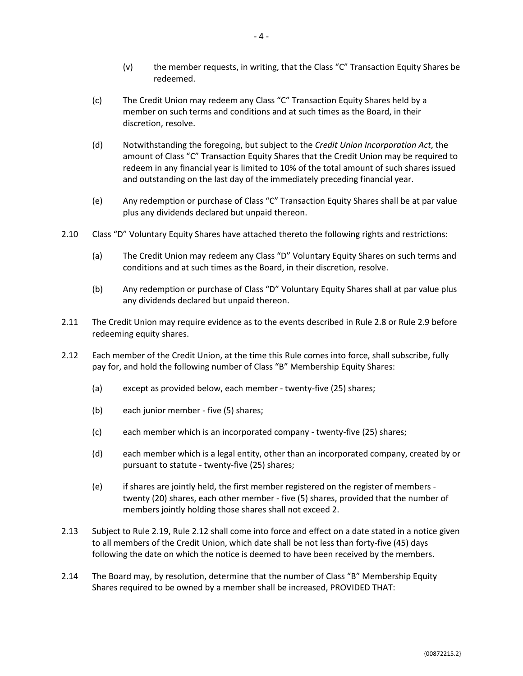- (v) the member requests, in writing, that the Class "C" Transaction Equity Shares be redeemed.
- (c) The Credit Union may redeem any Class "C" Transaction Equity Shares held by a member on such terms and conditions and at such times as the Board, in their discretion, resolve.
- (d) Notwithstanding the foregoing, but subject to the *Credit Union Incorporation Act*, the amount of Class "C" Transaction Equity Shares that the Credit Union may be required to redeem in any financial year is limited to 10% of the total amount of such shares issued and outstanding on the last day of the immediately preceding financial year.
- (e) Any redemption or purchase of Class "C" Transaction Equity Shares shall be at par value plus any dividends declared but unpaid thereon.
- 2.10 Class "D" Voluntary Equity Shares have attached thereto the following rights and restrictions:
	- (a) The Credit Union may redeem any Class "D" Voluntary Equity Shares on such terms and conditions and at such times as the Board, in their discretion, resolve.
	- (b) Any redemption or purchase of Class "D" Voluntary Equity Shares shall at par value plus any dividends declared but unpaid thereon.
- 2.11 The Credit Union may require evidence as to the events described in Rule [2.8](#page-1-0) or Rule [2.9](#page-2-0) before redeeming equity shares.
- <span id="page-3-0"></span>2.12 Each member of the Credit Union, at the time this Rule comes into force, shall subscribe, fully pay for, and hold the following number of Class "B" Membership Equity Shares:
	- (a) except as provided below, each member twenty-five (25) shares;
	- (b) each junior member five (5) shares;
	- (c) each member which is an incorporated company twenty-five (25) shares;
	- (d) each member which is a legal entity, other than an incorporated company, created by or pursuant to statute - twenty-five (25) shares;
	- (e) if shares are jointly held, the first member registered on the register of members twenty (20) shares, each other member - five (5) shares, provided that the number of members jointly holding those shares shall not exceed 2.
- <span id="page-3-1"></span>2.13 Subject to Rul[e 2.19,](#page-5-1) Rul[e 2.12](#page-3-0) shall come into force and effect on a date stated in a notice given to all members of the Credit Union, which date shall be not less than forty-five (45) days following the date on which the notice is deemed to have been received by the members.
- <span id="page-3-2"></span>2.14 The Board may, by resolution, determine that the number of Class "B" Membership Equity Shares required to be owned by a member shall be increased, PROVIDED THAT: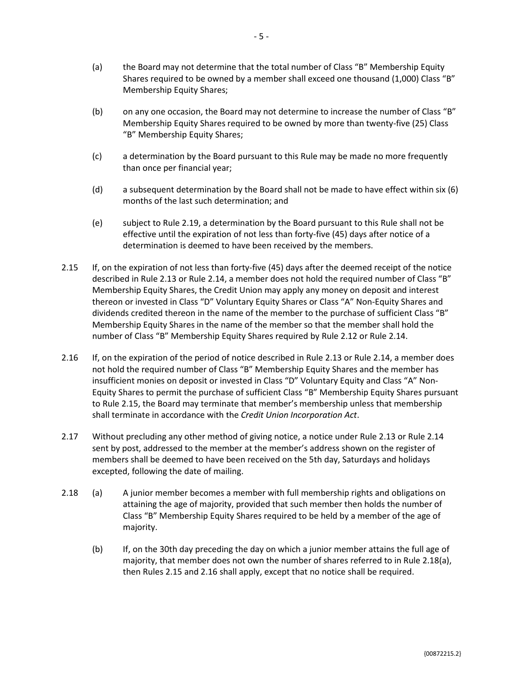- (a) the Board may not determine that the total number of Class "B" Membership Equity Shares required to be owned by a member shall exceed one thousand (1,000) Class "B" Membership Equity Shares;
- (b) on any one occasion, the Board may not determine to increase the number of Class "B" Membership Equity Shares required to be owned by more than twenty-five (25) Class "B" Membership Equity Shares;
- (c) a determination by the Board pursuant to this Rule may be made no more frequently than once per financial year;
- (d) a subsequent determination by the Board shall not be made to have effect within six (6) months of the last such determination; and
- (e) subject to Rule [2.19,](#page-5-1) a determination by the Board pursuant to this Rule shall not be effective until the expiration of not less than forty-five (45) days after notice of a determination is deemed to have been received by the members.
- <span id="page-4-0"></span>2.15 If, on the expiration of not less than forty-five (45) days after the deemed receipt of the notice described in Rule [2.13](#page-3-1) or Rule [2.14,](#page-3-2) a member does not hold the required number of Class "B" Membership Equity Shares, the Credit Union may apply any money on deposit and interest thereon or invested in Class "D" Voluntary Equity Shares or Class "A" Non-Equity Shares and dividends credited thereon in the name of the member to the purchase of sufficient Class "B" Membership Equity Shares in the name of the member so that the member shall hold the number of Class "B" Membership Equity Shares required by Rule [2.12](#page-3-0) or Rule [2.14.](#page-3-2)
- <span id="page-4-2"></span>2.16 If, on the expiration of the period of notice described in Rul[e 2.13](#page-3-1) or Rule [2.14,](#page-3-2) a member does not hold the required number of Class "B" Membership Equity Shares and the member has insufficient monies on deposit or invested in Class "D" Voluntary Equity and Class "A" Non-Equity Shares to permit the purchase of sufficient Class "B" Membership Equity Shares pursuant to Rule [2.15,](#page-4-0) the Board may terminate that member's membership unless that membership shall terminate in accordance with the *Credit Union Incorporation Act*.
- 2.17 Without precluding any other method of giving notice, a notice under Rul[e 2.13](#page-3-1) or Rule [2.14](#page-3-2) sent by post, addressed to the member at the member's address shown on the register of members shall be deemed to have been received on the 5th day, Saturdays and holidays excepted, following the date of mailing.
- <span id="page-4-1"></span>2.18 (a) A junior member becomes a member with full membership rights and obligations on attaining the age of majority, provided that such member then holds the number of Class "B" Membership Equity Shares required to be held by a member of the age of majority.
	- (b) If, on the 30th day preceding the day on which a junior member attains the full age of majority, that member does not own the number of shares referred to in Rule [2.18\(a\),](#page-4-1) then Rule[s 2.15](#page-4-0) and [2.16](#page-4-2) shall apply, except that no notice shall be required.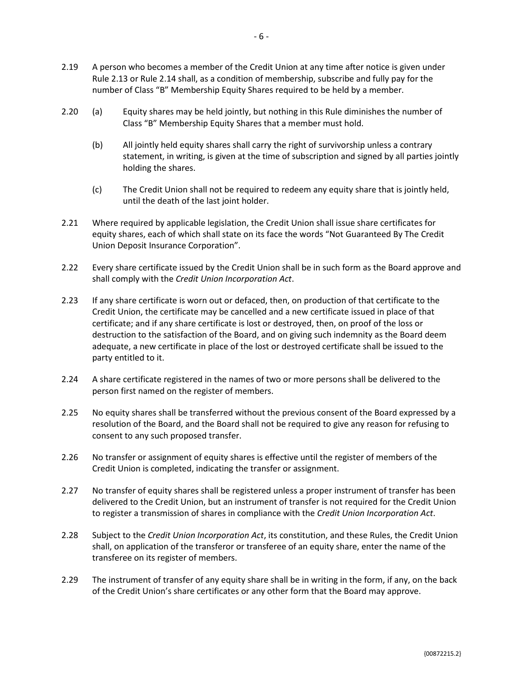- <span id="page-5-1"></span>2.19 A person who becomes a member of the Credit Union at any time after notice is given under Rule [2.13](#page-3-1) or Rul[e 2.14](#page-3-2) shall, as a condition of membership, subscribe and fully pay for the number of Class "B" Membership Equity Shares required to be held by a member.
- <span id="page-5-0"></span>2.20 (a) Equity shares may be held jointly, but nothing in this Rule diminishes the number of Class "B" Membership Equity Shares that a member must hold.
	- (b) All jointly held equity shares shall carry the right of survivorship unless a contrary statement, in writing, is given at the time of subscription and signed by all parties jointly holding the shares.
	- (c) The Credit Union shall not be required to redeem any equity share that is jointly held, until the death of the last joint holder.
- 2.21 Where required by applicable legislation, the Credit Union shall issue share certificates for equity shares, each of which shall state on its face the words "Not Guaranteed By The Credit Union Deposit Insurance Corporation".
- 2.22 Every share certificate issued by the Credit Union shall be in such form as the Board approve and shall comply with the *Credit Union Incorporation Act*.
- 2.23 If any share certificate is worn out or defaced, then, on production of that certificate to the Credit Union, the certificate may be cancelled and a new certificate issued in place of that certificate; and if any share certificate is lost or destroyed, then, on proof of the loss or destruction to the satisfaction of the Board, and on giving such indemnity as the Board deem adequate, a new certificate in place of the lost or destroyed certificate shall be issued to the party entitled to it.
- 2.24 A share certificate registered in the names of two or more persons shall be delivered to the person first named on the register of members.
- 2.25 No equity shares shall be transferred without the previous consent of the Board expressed by a resolution of the Board, and the Board shall not be required to give any reason for refusing to consent to any such proposed transfer.
- 2.26 No transfer or assignment of equity shares is effective until the register of members of the Credit Union is completed, indicating the transfer or assignment.
- 2.27 No transfer of equity shares shall be registered unless a proper instrument of transfer has been delivered to the Credit Union, but an instrument of transfer is not required for the Credit Union to register a transmission of shares in compliance with the *Credit Union Incorporation Act*.
- 2.28 Subject to the *Credit Union Incorporation Act*, its constitution, and these Rules, the Credit Union shall, on application of the transferor or transferee of an equity share, enter the name of the transferee on its register of members.
- 2.29 The instrument of transfer of any equity share shall be in writing in the form, if any, on the back of the Credit Union's share certificates or any other form that the Board may approve.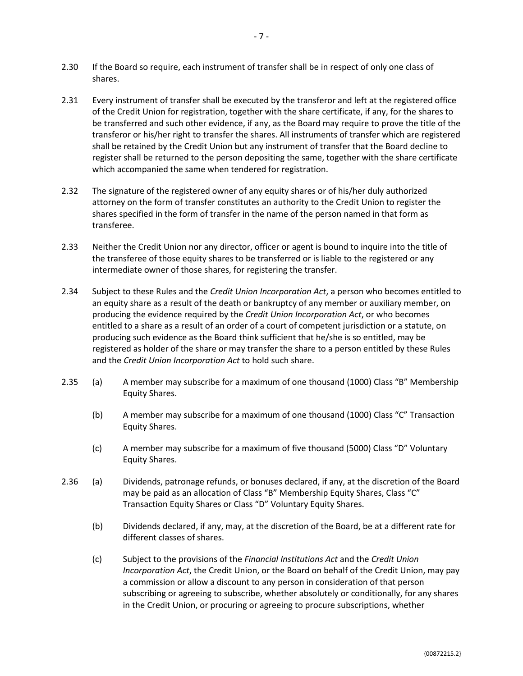- 2.31 Every instrument of transfer shall be executed by the transferor and left at the registered office of the Credit Union for registration, together with the share certificate, if any, for the shares to be transferred and such other evidence, if any, as the Board may require to prove the title of the transferor or his/her right to transfer the shares. All instruments of transfer which are registered shall be retained by the Credit Union but any instrument of transfer that the Board decline to register shall be returned to the person depositing the same, together with the share certificate which accompanied the same when tendered for registration.
- 2.32 The signature of the registered owner of any equity shares or of his/her duly authorized attorney on the form of transfer constitutes an authority to the Credit Union to register the shares specified in the form of transfer in the name of the person named in that form as transferee.
- 2.33 Neither the Credit Union nor any director, officer or agent is bound to inquire into the title of the transferee of those equity shares to be transferred or is liable to the registered or any intermediate owner of those shares, for registering the transfer.
- 2.34 Subject to these Rules and the *Credit Union Incorporation Act*, a person who becomes entitled to an equity share as a result of the death or bankruptcy of any member or auxiliary member, on producing the evidence required by the *Credit Union Incorporation Act*, or who becomes entitled to a share as a result of an order of a court of competent jurisdiction or a statute, on producing such evidence as the Board think sufficient that he/she is so entitled, may be registered as holder of the share or may transfer the share to a person entitled by these Rules and the *Credit Union Incorporation Act* to hold such share.
- 2.35 (a) A member may subscribe for a maximum of one thousand (1000) Class "B" Membership Equity Shares.
	- (b) A member may subscribe for a maximum of one thousand (1000) Class "C" Transaction Equity Shares.
	- (c) A member may subscribe for a maximum of five thousand (5000) Class "D" Voluntary Equity Shares.
- 2.36 (a) Dividends, patronage refunds, or bonuses declared, if any, at the discretion of the Board may be paid as an allocation of Class "B" Membership Equity Shares, Class "C" Transaction Equity Shares or Class "D" Voluntary Equity Shares.
	- (b) Dividends declared, if any, may, at the discretion of the Board, be at a different rate for different classes of shares.
	- (c) Subject to the provisions of the *Financial Institutions Act* and the *Credit Union Incorporation Act*, the Credit Union, or the Board on behalf of the Credit Union, may pay a commission or allow a discount to any person in consideration of that person subscribing or agreeing to subscribe, whether absolutely or conditionally, for any shares in the Credit Union, or procuring or agreeing to procure subscriptions, whether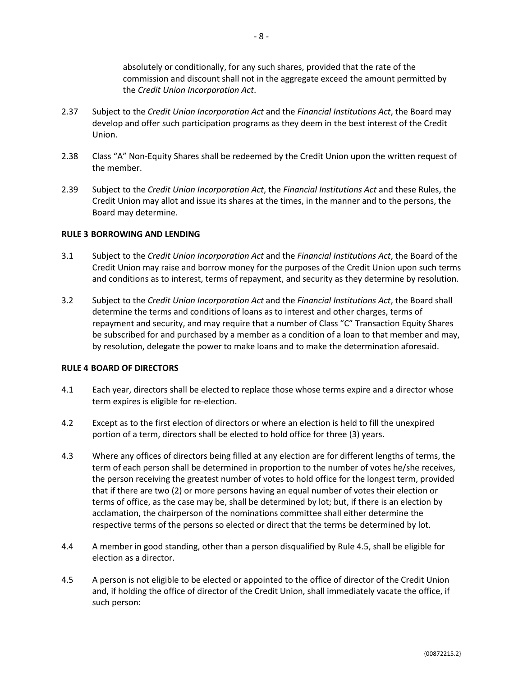absolutely or conditionally, for any such shares, provided that the rate of the commission and discount shall not in the aggregate exceed the amount permitted by the *Credit Union Incorporation Act*.

- 2.37 Subject to the *Credit Union Incorporation Act* and the *Financial Institutions Act*, the Board may develop and offer such participation programs as they deem in the best interest of the Credit Union.
- 2.38 Class "A" Non-Equity Shares shall be redeemed by the Credit Union upon the written request of the member.
- 2.39 Subject to the *Credit Union Incorporation Act*, the *Financial Institutions Act* and these Rules, the Credit Union may allot and issue its shares at the times, in the manner and to the persons, the Board may determine.

#### **RULE 3 BORROWING AND LENDING**

- 3.1 Subject to the *Credit Union Incorporation Act* and the *Financial Institutions Act*, the Board of the Credit Union may raise and borrow money for the purposes of the Credit Union upon such terms and conditions as to interest, terms of repayment, and security as they determine by resolution.
- 3.2 Subject to the *Credit Union Incorporation Act* and the *Financial Institutions Act*, the Board shall determine the terms and conditions of loans as to interest and other charges, terms of repayment and security, and may require that a number of Class "C" Transaction Equity Shares be subscribed for and purchased by a member as a condition of a loan to that member and may, by resolution, delegate the power to make loans and to make the determination aforesaid.

#### **RULE 4 BOARD OF DIRECTORS**

- 4.1 Each year, directors shall be elected to replace those whose terms expire and a director whose term expires is eligible for re-election.
- 4.2 Except as to the first election of directors or where an election is held to fill the unexpired portion of a term, directors shall be elected to hold office for three (3) years.
- 4.3 Where any offices of directors being filled at any election are for different lengths of terms, the term of each person shall be determined in proportion to the number of votes he/she receives, the person receiving the greatest number of votes to hold office for the longest term, provided that if there are two (2) or more persons having an equal number of votes their election or terms of office, as the case may be, shall be determined by lot; but, if there is an election by acclamation, the chairperson of the nominations committee shall either determine the respective terms of the persons so elected or direct that the terms be determined by lot.
- 4.4 A member in good standing, other than a person disqualified by Rul[e 4.5,](#page-7-0) shall be eligible for election as a director.
- <span id="page-7-0"></span>4.5 A person is not eligible to be elected or appointed to the office of director of the Credit Union and, if holding the office of director of the Credit Union, shall immediately vacate the office, if such person: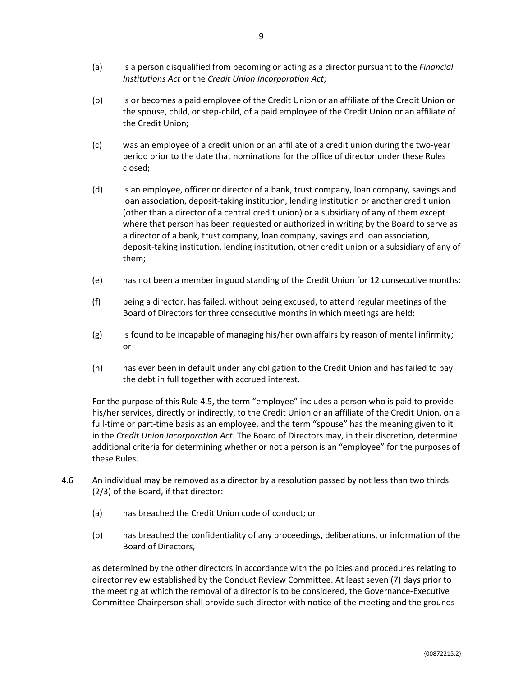- (a) is a person disqualified from becoming or acting as a director pursuant to the *Financial Institutions Act* or the *Credit Union Incorporation Act*;
- (b) is or becomes a paid employee of the Credit Union or an affiliate of the Credit Union or the spouse, child, or step-child, of a paid employee of the Credit Union or an affiliate of the Credit Union;
- (c) was an employee of a credit union or an affiliate of a credit union during the two-year period prior to the date that nominations for the office of director under these Rules closed;
- (d) is an employee, officer or director of a bank, trust company, loan company, savings and loan association, deposit-taking institution, lending institution or another credit union (other than a director of a central credit union) or a subsidiary of any of them except where that person has been requested or authorized in writing by the Board to serve as a director of a bank, trust company, loan company, savings and loan association, deposit-taking institution, lending institution, other credit union or a subsidiary of any of them;
- (e) has not been a member in good standing of the Credit Union for 12 consecutive months;
- (f) being a director, has failed, without being excused, to attend regular meetings of the Board of Directors for three consecutive months in which meetings are held;
- $(g)$  is found to be incapable of managing his/her own affairs by reason of mental infirmity; or
- (h) has ever been in default under any obligation to the Credit Union and has failed to pay the debt in full together with accrued interest.

For the purpose of this Rul[e 4.5,](#page-7-0) the term "employee" includes a person who is paid to provide his/her services, directly or indirectly, to the Credit Union or an affiliate of the Credit Union, on a full-time or part-time basis as an employee, and the term "spouse" has the meaning given to it in the *Credit Union Incorporation Act*. The Board of Directors may, in their discretion, determine additional criteria for determining whether or not a person is an "employee" for the purposes of these Rules.

- 4.6 An individual may be removed as a director by a resolution passed by not less than two thirds (2/3) of the Board, if that director:
	- (a) has breached the Credit Union code of conduct; or
	- (b) has breached the confidentiality of any proceedings, deliberations, or information of the Board of Directors,

as determined by the other directors in accordance with the policies and procedures relating to director review established by the Conduct Review Committee. At least seven (7) days prior to the meeting at which the removal of a director is to be considered, the Governance-Executive Committee Chairperson shall provide such director with notice of the meeting and the grounds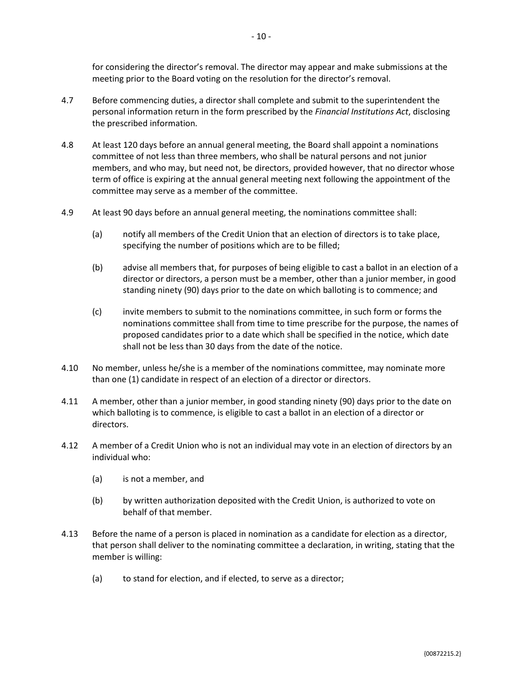for considering the director's removal. The director may appear and make submissions at the meeting prior to the Board voting on the resolution for the director's removal.

- 4.7 Before commencing duties, a director shall complete and submit to the superintendent the personal information return in the form prescribed by the *Financial Institutions Act*, disclosing the prescribed information.
- 4.8 At least 120 days before an annual general meeting, the Board shall appoint a nominations committee of not less than three members, who shall be natural persons and not junior members, and who may, but need not, be directors, provided however, that no director whose term of office is expiring at the annual general meeting next following the appointment of the committee may serve as a member of the committee.
- 4.9 At least 90 days before an annual general meeting, the nominations committee shall:
	- (a) notify all members of the Credit Union that an election of directors is to take place, specifying the number of positions which are to be filled;
	- (b) advise all members that, for purposes of being eligible to cast a ballot in an election of a director or directors, a person must be a member, other than a junior member, in good standing ninety (90) days prior to the date on which balloting is to commence; and
	- (c) invite members to submit to the nominations committee, in such form or forms the nominations committee shall from time to time prescribe for the purpose, the names of proposed candidates prior to a date which shall be specified in the notice, which date shall not be less than 30 days from the date of the notice.
- 4.10 No member, unless he/she is a member of the nominations committee, may nominate more than one (1) candidate in respect of an election of a director or directors.
- 4.11 A member, other than a junior member, in good standing ninety (90) days prior to the date on which balloting is to commence, is eligible to cast a ballot in an election of a director or directors.
- 4.12 A member of a Credit Union who is not an individual may vote in an election of directors by an individual who:
	- (a) is not a member, and
	- (b) by written authorization deposited with the Credit Union, is authorized to vote on behalf of that member.
- 4.13 Before the name of a person is placed in nomination as a candidate for election as a director, that person shall deliver to the nominating committee a declaration, in writing, stating that the member is willing:
	- (a) to stand for election, and if elected, to serve as a director;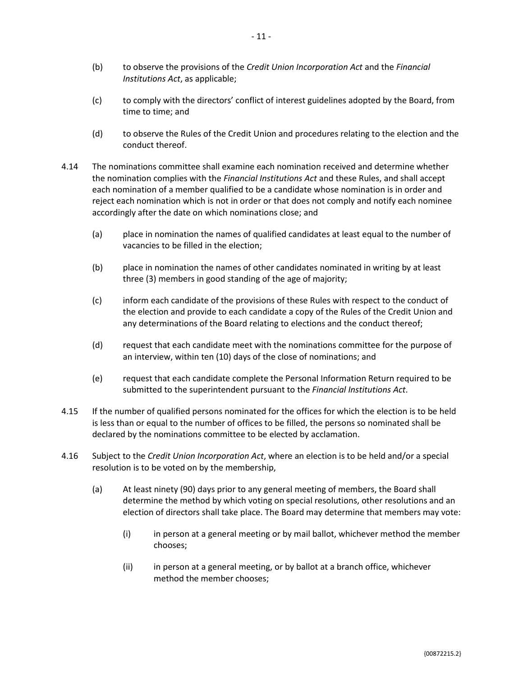- (c) to comply with the directors' conflict of interest guidelines adopted by the Board, from time to time; and
- (d) to observe the Rules of the Credit Union and procedures relating to the election and the conduct thereof.
- 4.14 The nominations committee shall examine each nomination received and determine whether the nomination complies with the *Financial Institutions Act* and these Rules, and shall accept each nomination of a member qualified to be a candidate whose nomination is in order and reject each nomination which is not in order or that does not comply and notify each nominee accordingly after the date on which nominations close; and
	- (a) place in nomination the names of qualified candidates at least equal to the number of vacancies to be filled in the election;
	- (b) place in nomination the names of other candidates nominated in writing by at least three (3) members in good standing of the age of majority;
	- (c) inform each candidate of the provisions of these Rules with respect to the conduct of the election and provide to each candidate a copy of the Rules of the Credit Union and any determinations of the Board relating to elections and the conduct thereof;
	- (d) request that each candidate meet with the nominations committee for the purpose of an interview, within ten (10) days of the close of nominations; and
	- (e) request that each candidate complete the Personal Information Return required to be submitted to the superintendent pursuant to the *Financial Institutions Act*.
- 4.15 If the number of qualified persons nominated for the offices for which the election is to be held is less than or equal to the number of offices to be filled, the persons so nominated shall be declared by the nominations committee to be elected by acclamation.
- <span id="page-10-0"></span>4.16 Subject to the *Credit Union Incorporation Act*, where an election is to be held and/or a special resolution is to be voted on by the membership,
	- (a) At least ninety (90) days prior to any general meeting of members, the Board shall determine the method by which voting on special resolutions, other resolutions and an election of directors shall take place. The Board may determine that members may vote:
		- (i) in person at a general meeting or by mail ballot, whichever method the member chooses;
		- (ii) in person at a general meeting, or by ballot at a branch office, whichever method the member chooses;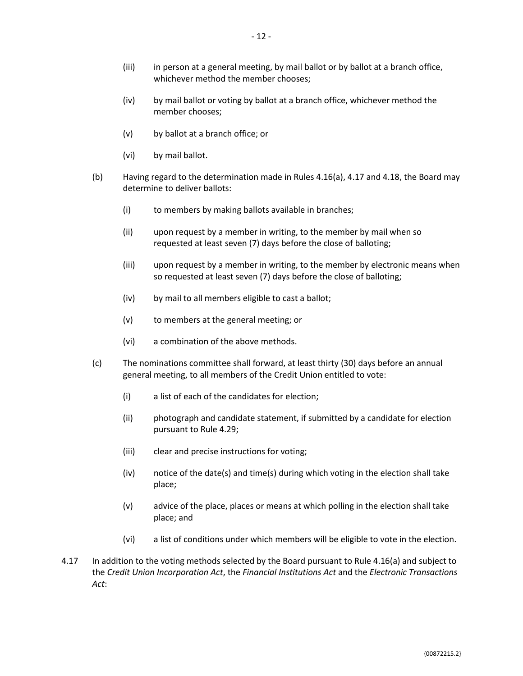- (iii) in person at a general meeting, by mail ballot or by ballot at a branch office, whichever method the member chooses;
- (iv) by mail ballot or voting by ballot at a branch office, whichever method the member chooses;
- (v) by ballot at a branch office; or
- (vi) by mail ballot.
- (b) Having regard to the determination made in Rules [4.16\(a\),](#page-10-0) [4.17](#page-11-0) and [4.18,](#page-12-0) the Board may determine to deliver ballots:
	- (i) to members by making ballots available in branches;
	- (ii) upon request by a member in writing, to the member by mail when so requested at least seven (7) days before the close of balloting;
	- (iii) upon request by a member in writing, to the member by electronic means when so requested at least seven (7) days before the close of balloting;
	- (iv) by mail to all members eligible to cast a ballot;
	- (v) to members at the general meeting; or
	- (vi) a combination of the above methods.
- (c) The nominations committee shall forward, at least thirty (30) days before an annual general meeting, to all members of the Credit Union entitled to vote:
	- (i) a list of each of the candidates for election;
	- (ii) photograph and candidate statement, if submitted by a candidate for election pursuant to Rule [4.29;](#page-13-0)
	- (iii) clear and precise instructions for voting;
	- (iv) notice of the date(s) and time(s) during which voting in the election shall take place;
	- (v) advice of the place, places or means at which polling in the election shall take place; and
	- (vi) a list of conditions under which members will be eligible to vote in the election.
- <span id="page-11-0"></span>4.17 In addition to the voting methods selected by the Board pursuant to Rule [4.16\(a\)](#page-10-0) and subject to the *Credit Union Incorporation Act*, the *Financial Institutions Act* and the *Electronic Transactions Act*: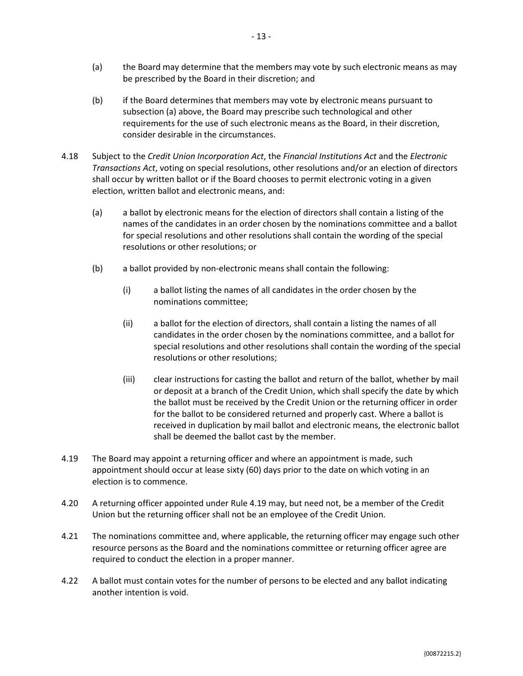- (a) the Board may determine that the members may vote by such electronic means as may be prescribed by the Board in their discretion; and
- (b) if the Board determines that members may vote by electronic means pursuant to subsection (a) above, the Board may prescribe such technological and other requirements for the use of such electronic means as the Board, in their discretion, consider desirable in the circumstances.
- <span id="page-12-0"></span>4.18 Subject to the *Credit Union Incorporation Act*, the *Financial Institutions Act* and the *Electronic Transactions Act*, voting on special resolutions, other resolutions and/or an election of directors shall occur by written ballot or if the Board chooses to permit electronic voting in a given election, written ballot and electronic means, and:
	- (a) a ballot by electronic means for the election of directors shall contain a listing of the names of the candidates in an order chosen by the nominations committee and a ballot for special resolutions and other resolutions shall contain the wording of the special resolutions or other resolutions; or
	- (b) a ballot provided by non-electronic means shall contain the following:
		- (i) a ballot listing the names of all candidates in the order chosen by the nominations committee;
		- (ii) a ballot for the election of directors, shall contain a listing the names of all candidates in the order chosen by the nominations committee, and a ballot for special resolutions and other resolutions shall contain the wording of the special resolutions or other resolutions;
		- (iii) clear instructions for casting the ballot and return of the ballot, whether by mail or deposit at a branch of the Credit Union, which shall specify the date by which the ballot must be received by the Credit Union or the returning officer in order for the ballot to be considered returned and properly cast. Where a ballot is received in duplication by mail ballot and electronic means, the electronic ballot shall be deemed the ballot cast by the member.
- <span id="page-12-1"></span>4.19 The Board may appoint a returning officer and where an appointment is made, such appointment should occur at lease sixty (60) days prior to the date on which voting in an election is to commence.
- 4.20 A returning officer appointed under Rule [4.19](#page-12-1) may, but need not, be a member of the Credit Union but the returning officer shall not be an employee of the Credit Union.
- 4.21 The nominations committee and, where applicable, the returning officer may engage such other resource persons as the Board and the nominations committee or returning officer agree are required to conduct the election in a proper manner.
- 4.22 A ballot must contain votes for the number of persons to be elected and any ballot indicating another intention is void.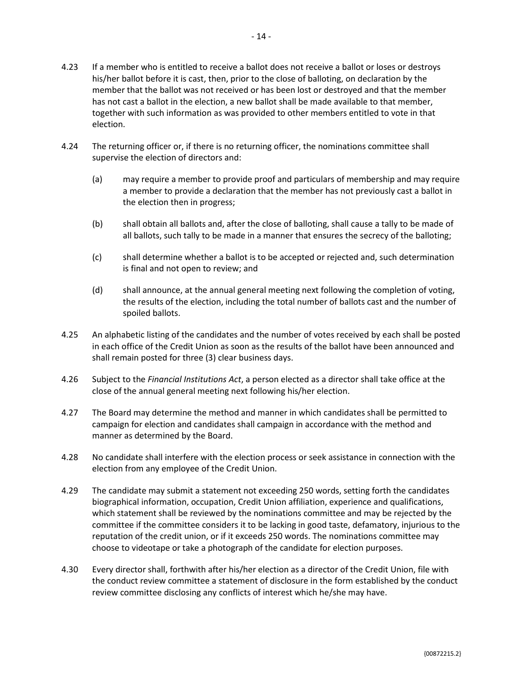- 4.23 If a member who is entitled to receive a ballot does not receive a ballot or loses or destroys his/her ballot before it is cast, then, prior to the close of balloting, on declaration by the member that the ballot was not received or has been lost or destroyed and that the member has not cast a ballot in the election, a new ballot shall be made available to that member, together with such information as was provided to other members entitled to vote in that election.
- 4.24 The returning officer or, if there is no returning officer, the nominations committee shall supervise the election of directors and:
	- (a) may require a member to provide proof and particulars of membership and may require a member to provide a declaration that the member has not previously cast a ballot in the election then in progress;
	- (b) shall obtain all ballots and, after the close of balloting, shall cause a tally to be made of all ballots, such tally to be made in a manner that ensures the secrecy of the balloting;
	- (c) shall determine whether a ballot is to be accepted or rejected and, such determination is final and not open to review; and
	- (d) shall announce, at the annual general meeting next following the completion of voting, the results of the election, including the total number of ballots cast and the number of spoiled ballots.
- 4.25 An alphabetic listing of the candidates and the number of votes received by each shall be posted in each office of the Credit Union as soon as the results of the ballot have been announced and shall remain posted for three (3) clear business days.
- 4.26 Subject to the *Financial Institutions Act*, a person elected as a director shall take office at the close of the annual general meeting next following his/her election.
- 4.27 The Board may determine the method and manner in which candidates shall be permitted to campaign for election and candidates shall campaign in accordance with the method and manner as determined by the Board.
- 4.28 No candidate shall interfere with the election process or seek assistance in connection with the election from any employee of the Credit Union.
- <span id="page-13-0"></span>4.29 The candidate may submit a statement not exceeding 250 words, setting forth the candidates biographical information, occupation, Credit Union affiliation, experience and qualifications, which statement shall be reviewed by the nominations committee and may be rejected by the committee if the committee considers it to be lacking in good taste, defamatory, injurious to the reputation of the credit union, or if it exceeds 250 words. The nominations committee may choose to videotape or take a photograph of the candidate for election purposes.
- 4.30 Every director shall, forthwith after his/her election as a director of the Credit Union, file with the conduct review committee a statement of disclosure in the form established by the conduct review committee disclosing any conflicts of interest which he/she may have.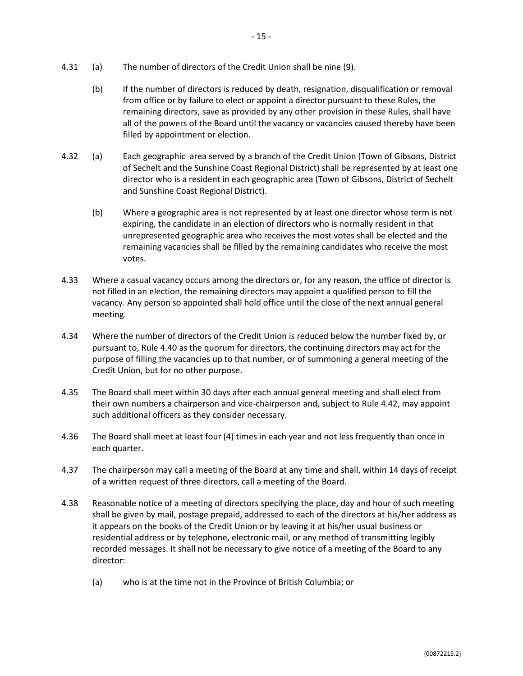- 4.31 (a) The number of directors of the Credit Union shall be nine (9).
	- (b) If the number of directors is reduced by death, resignation, disqualification or removal from office or by failure to elect or appoint a director pursuant to these Rules, the remaining directors, save as provided by any other provision in these Rules, shall have all of the powers of the Board until the vacancy or vacancies caused thereby have been filled by appointment or election.
- 4.32 (a) Each geographic area served by a branch of the Credit Union (Town of Gibsons, District of Sechelt and the Sunshine Coast Regional District) shall be represented by at least one director who is a resident in each geographic area (Town of Gibsons, District of Sechelt and Sunshine Coast Regional District).
	- (b) Where a geographic area is not represented by at least one director whose term is not expiring, the candidate in an election of directors who is normally resident in that unrepresented geographic area who receives the most votes shall be elected and the remaining vacancies shall be filled by the remaining candidates who receive the most votes.
- 4.33 Where a casual vacancy occurs among the directors or, for any reason, the office of director is not filled in an election, the remaining directors may appoint a qualified person to fill the vacancy. Any person so appointed shall hold office until the close of the next annual general meeting.
- 4.34 Where the number of directors of the Credit Union is reduced below the number fixed by, or pursuant to, Rul[e 4.40](#page-15-0) as the quorum for directors, the continuing directors may act for the purpose of filling the vacancies up to that number, or of summoning a general meeting of the Credit Union, but for no other purpose.
- 4.35 The Board shall meet within 30 days after each annual general meeting and shall elect from their own numbers a chairperson and vice-chairperson and, subject to Rule [4.42,](#page-15-1) may appoint such additional officers as they consider necessary.
- 4.36 The Board shall meet at least four (4) times in each year and not less frequently than once in each quarter.
- 4.37 The chairperson may call a meeting of the Board at any time and shall, within 14 days of receipt of a written request of three directors, call a meeting of the Board.
- 4.38 Reasonable notice of a meeting of directors specifying the place, day and hour of such meeting shall be given by mail, postage prepaid, addressed to each of the directors at his/her address as it appears on the books of the Credit Union or by leaving it at his/her usual business or residential address or by telephone, electronic mail, or any method of transmitting legibly recorded messages. It shall not be necessary to give notice of a meeting of the Board to any director:
	- (a) who is at the time not in the Province of British Columbia; or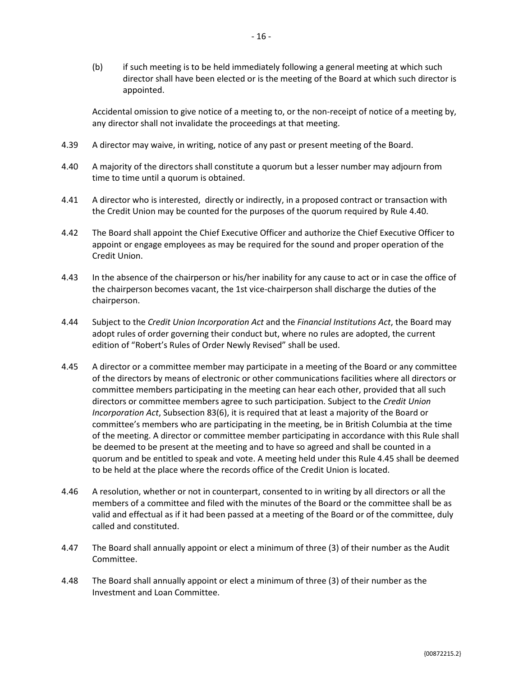(b) if such meeting is to be held immediately following a general meeting at which such director shall have been elected or is the meeting of the Board at which such director is appointed.

Accidental omission to give notice of a meeting to, or the non-receipt of notice of a meeting by, any director shall not invalidate the proceedings at that meeting.

- <span id="page-15-0"></span>4.39 A director may waive, in writing, notice of any past or present meeting of the Board.
- 4.40 A majority of the directors shall constitute a quorum but a lesser number may adjourn from time to time until a quorum is obtained.
- 4.41 A director who is interested, directly or indirectly, in a proposed contract or transaction with the Credit Union may be counted for the purposes of the quorum required by Rule [4.40.](#page-15-0)
- <span id="page-15-1"></span>4.42 The Board shall appoint the Chief Executive Officer and authorize the Chief Executive Officer to appoint or engage employees as may be required for the sound and proper operation of the Credit Union.
- 4.43 In the absence of the chairperson or his/her inability for any cause to act or in case the office of the chairperson becomes vacant, the 1st vice-chairperson shall discharge the duties of the chairperson.
- 4.44 Subject to the *Credit Union Incorporation Act* and the *Financial Institutions Act*, the Board may adopt rules of order governing their conduct but, where no rules are adopted, the current edition of "Robert's Rules of Order Newly Revised" shall be used.
- <span id="page-15-2"></span>4.45 A director or a committee member may participate in a meeting of the Board or any committee of the directors by means of electronic or other communications facilities where all directors or committee members participating in the meeting can hear each other, provided that all such directors or committee members agree to such participation. Subject to the *Credit Union Incorporation Act*, Subsection 83(6), it is required that at least a majority of the Board or committee's members who are participating in the meeting, be in British Columbia at the time of the meeting. A director or committee member participating in accordance with this Rule shall be deemed to be present at the meeting and to have so agreed and shall be counted in a quorum and be entitled to speak and vote. A meeting held under this Rule [4.45](#page-15-2) shall be deemed to be held at the place where the records office of the Credit Union is located.
- 4.46 A resolution, whether or not in counterpart, consented to in writing by all directors or all the members of a committee and filed with the minutes of the Board or the committee shall be as valid and effectual as if it had been passed at a meeting of the Board or of the committee, duly called and constituted.
- 4.47 The Board shall annually appoint or elect a minimum of three (3) of their number as the Audit Committee.
- 4.48 The Board shall annually appoint or elect a minimum of three (3) of their number as the Investment and Loan Committee.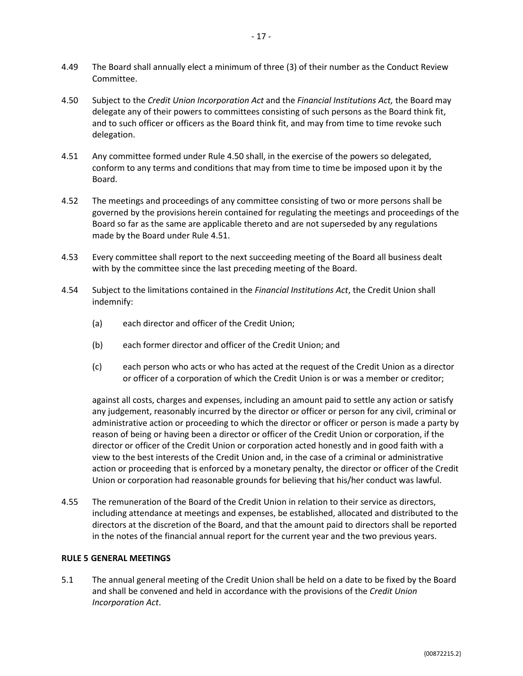- 4.49 The Board shall annually elect a minimum of three (3) of their number as the Conduct Review Committee.
- <span id="page-16-0"></span>4.50 Subject to the *Credit Union Incorporation Act* and the *Financial Institutions Act,* the Board may delegate any of their powers to committees consisting of such persons as the Board think fit, and to such officer or officers as the Board think fit, and may from time to time revoke such delegation.
- <span id="page-16-1"></span>4.51 Any committee formed under Rule [4.50](#page-16-0) shall, in the exercise of the powers so delegated, conform to any terms and conditions that may from time to time be imposed upon it by the Board.
- 4.52 The meetings and proceedings of any committee consisting of two or more persons shall be governed by the provisions herein contained for regulating the meetings and proceedings of the Board so far as the same are applicable thereto and are not superseded by any regulations made by the Board under Rule [4.51.](#page-16-1)
- 4.53 Every committee shall report to the next succeeding meeting of the Board all business dealt with by the committee since the last preceding meeting of the Board.
- 4.54 Subject to the limitations contained in the *Financial Institutions Act*, the Credit Union shall indemnify:
	- (a) each director and officer of the Credit Union;
	- (b) each former director and officer of the Credit Union; and
	- (c) each person who acts or who has acted at the request of the Credit Union as a director or officer of a corporation of which the Credit Union is or was a member or creditor;

against all costs, charges and expenses, including an amount paid to settle any action or satisfy any judgement, reasonably incurred by the director or officer or person for any civil, criminal or administrative action or proceeding to which the director or officer or person is made a party by reason of being or having been a director or officer of the Credit Union or corporation, if the director or officer of the Credit Union or corporation acted honestly and in good faith with a view to the best interests of the Credit Union and, in the case of a criminal or administrative action or proceeding that is enforced by a monetary penalty, the director or officer of the Credit Union or corporation had reasonable grounds for believing that his/her conduct was lawful.

4.55 The remuneration of the Board of the Credit Union in relation to their service as directors, including attendance at meetings and expenses, be established, allocated and distributed to the directors at the discretion of the Board, and that the amount paid to directors shall be reported in the notes of the financial annual report for the current year and the two previous years.

#### **RULE 5 GENERAL MEETINGS**

5.1 The annual general meeting of the Credit Union shall be held on a date to be fixed by the Board and shall be convened and held in accordance with the provisions of the *Credit Union Incorporation Act*.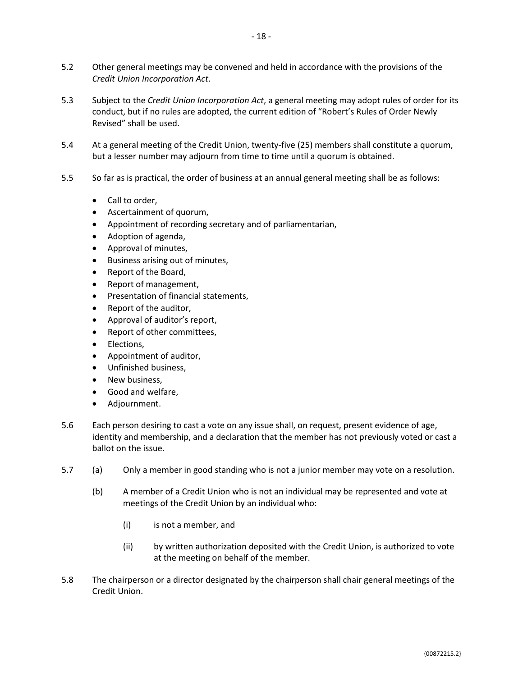- 5.2 Other general meetings may be convened and held in accordance with the provisions of the *Credit Union Incorporation Act*.
- 5.3 Subject to the *Credit Union Incorporation Act*, a general meeting may adopt rules of order for its conduct, but if no rules are adopted, the current edition of "Robert's Rules of Order Newly Revised" shall be used.
- 5.4 At a general meeting of the Credit Union, twenty-five (25) members shall constitute a quorum, but a lesser number may adjourn from time to time until a quorum is obtained.
- 5.5 So far as is practical, the order of business at an annual general meeting shall be as follows:
	- Call to order,
	- Ascertainment of quorum,
	- Appointment of recording secretary and of parliamentarian,
	- Adoption of agenda,
	- Approval of minutes,
	- Business arising out of minutes,
	- Report of the Board,
	- Report of management,
	- Presentation of financial statements,
	- Report of the auditor,
	- Approval of auditor's report,
	- Report of other committees,
	- Elections,
	- Appointment of auditor,
	- Unfinished business,
	- New business,
	- Good and welfare,
	- Adjournment.
- 5.6 Each person desiring to cast a vote on any issue shall, on request, present evidence of age, identity and membership, and a declaration that the member has not previously voted or cast a ballot on the issue.
- 5.7 (a) Only a member in good standing who is not a junior member may vote on a resolution.
	- (b) A member of a Credit Union who is not an individual may be represented and vote at meetings of the Credit Union by an individual who:
		- (i) is not a member, and
		- (ii) by written authorization deposited with the Credit Union, is authorized to vote at the meeting on behalf of the member.
- 5.8 The chairperson or a director designated by the chairperson shall chair general meetings of the Credit Union.